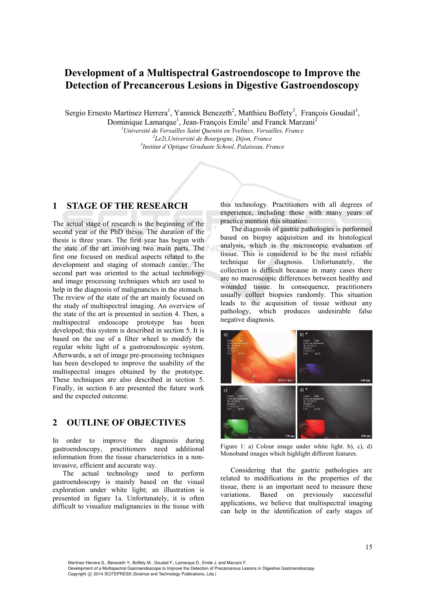# **Development of a Multispectral Gastroendoscope to Improve the Detection of Precancerous Lesions in Digestive Gastroendoscopy**

Sergio Ernesto Martinez Herrera<sup>1</sup>, Yannick Benezeth<sup>2</sup>, Matthieu Boffety<sup>3</sup>, François Goudail<sup>3</sup>,

Dominique Lamarque<sup>1</sup>, Jean-François Emile<sup>1</sup> and Franck Marzani<sup>2</sup>

<sup>1</sup> Université de Versailles Saint Quentin en Yvelines, Versailles, France <sup>2</sup><br><sup>2</sup> Le<sup>3</sup>i Lluinamité de Bourgogne, Dijon, France *Le2i,Université de Bourgogne, Dijon, France 3 Institut d'Optique Graduate School, Palaiseau, France* 

## **1 STAGE OF THE RESEARCH**

The actual stage of research is the beginning of the second year of the PhD thesis. The duration of the thesis is three years. The first year has begun with the state of the art involving two main parts. The first one focused on medical aspects related to the development and staging of stomach cancer. The second part was oriented to the actual technology and image processing techniques which are used to help in the diagnosis of malignancies in the stomach. The review of the state of the art mainly focused on the study of multispectral imaging. An overview of the state of the art is presented in section 4. Then, a multispectral endoscope prototype has been developed; this system is described in section 5. It is based on the use of a filter wheel to modify the regular white light of a gastroendoscopic system. Afterwards, a set of image pre-processing techniques has been developed to improve the usability of the multispectral images obtained by the prototype. These techniques are also described in section 5. Finally, in section 6 are presented the future work and the expected outcome.

### **2 OUTLINE OF OBJECTIVES**

In order to improve the diagnosis during gastroendoscopy, practitioners need additional information from the tissue characteristics in a noninvasive, efficient and accurate way.

The actual technology used to perform gastroendoscopy is mainly based on the visual exploration under white light; an illustration is presented in figure 1a. Unfortunately, it is often difficult to visualize malignancies in the tissue with

this technology. Practitioners with all degrees of experience, including those with many years of practice mention this situation.

The diagnosis of gastric pathologies is performed based on biopsy acquisition and its histological analysis, which is the microscopic evaluation of tissue. This is considered to be the most reliable technique for diagnosis. Unfortunately, the collection is difficult because in many cases there are no macroscopic differences between healthy and wounded tissue. In consequence, practitioners usually collect biopsies randomly. This situation leads to the acquisition of tissue without any pathology, which produces undesirable false negative diagnosis.



Figure 1: a) Colour image under white light. b), c), d) Monoband images which highlight different features.

Considering that the gastric pathologies are related to modifications in the properties of the tissue, there is an important need to measure these variations. Based on previously successful applications, we believe that multispectral imaging can help in the identification of early stages of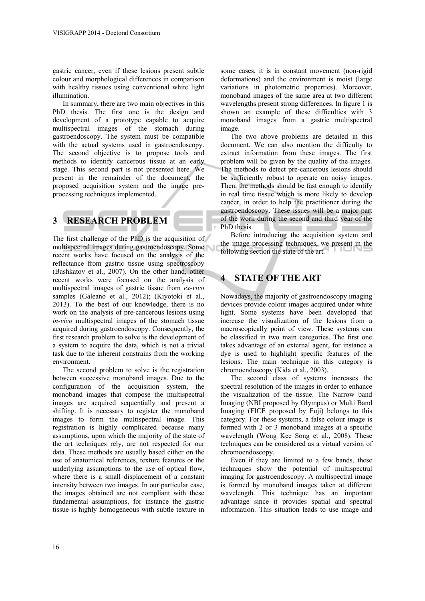gastric cancer, even if these lesions present subtle colour and morphological differences in comparison with healthy tissues using conventional white light illumination.

In summary, there are two main objectives in this PhD thesis. The first one is the design and development of a prototype capable to acquire multispectral images of the stomach during gastroendoscopy. The system must be compatible with the actual systems used in gastroendoscopy. The second objective is to propose tools and methods to identify cancerous tissue at an early stage. This second part is not presented here. We present in the remainder of the document, the proposed acquisition system and the image preprocessing techniques implemented.

## **3 RESEARCH PROBLEM**

The first challenge of the PhD is the acquisition of multispectral images during gastroendoscopy. Some recent works have focused on the analysis of the reflectance from gastric tissue using spectroscopy (Bashkatov et al., 2007). On the other hand, other recent works were focused on the analysis of multispectral images of gastric tissue from *ex-vivo* samples (Galeano et al., 2012); (Kiyotoki et al., 2013). To the best of our knowledge, there is no work on the analysis of pre-cancerous lesions using *in-vivo* multispectral images of the stomach tissue acquired during gastroendoscopy. Consequently, the first research problem to solve is the development of a system to acquire the data, which is not a trivial task due to the inherent constrains from the working environment.

The second problem to solve is the registration between successive monoband images. Due to the configuration of the acquisition system, the monoband images that compose the multispectral images are acquired sequentially and present a shifting. It is necessary to register the monoband images to form the multispectral image. This registration is highly complicated because many assumptions, upon which the majority of the state of the art techniques rely, are not respected for our data. These methods are usually based either on the use of anatomical references, texture features or the underlying assumptions to the use of optical flow, where there is a small displacement of a constant intensity between two images. In our particular case, the images obtained are not compliant with these fundamental assumptions, for instance the gastric tissue is highly homogeneous with subtle texture in

some cases, it is in constant movement (non-rigid deformations) and the environment is moist (large variations in photometric properties). Moreover, monoband images of the same area at two different wavelengths present strong differences. In figure 1 is shown an example of these difficulties with 3 monoband images from a gastric multispectral image.

The two above problems are detailed in this document. We can also mention the difficulty to extract information from these images. The first problem will be given by the quality of the images. The methods to detect pre-cancerous lesions should be sufficiently robust to operate on noisy images. Then, the methods should be fast enough to identify in real time tissue which is more likely to develop cancer, in order to help the practitioner during the gastroendoscopy. These issues will be a major part of the work during the second and third year of the PhD thesis.

Before introducing the acquisition system and the image processing techniques, we present in the following section the state of the art.

# **4 STATE OF THE ART**

Nowadays, the majority of gastroendoscopy imaging devices provide colour images acquired under white light. Some systems have been developed that increase the visualization of the lesions from a macroscopically point of view. These systems can be classified in two main categories. The first one takes advantage of an external agent, for instance a dye is used to highlight specific features of the lesions. The main technique in this category is chromoendoscopy (Kida et al., 2003).

The second class of systems increases the spectral resolution of the images in order to enhance the visualization of the tissue. The Narrow band Imaging (NBI proposed by Olympus) or Multi Band Imaging (FICE proposed by Fuji) belongs to this category. For these systems, a false colour image is formed with 2 or 3 monoband images at a specific wavelength (Wong Kee Song et al., 2008). These techniques can be considered as a virtual version of chromoendoscopy.

Even if they are limited to a few bands, these techniques show the potential of multispectral imaging for gastroendoscopy. A multispectral image is formed by monoband images taken at different wavelength. This technique has an important advantage since it provides spatial and spectral information. This situation leads to use image and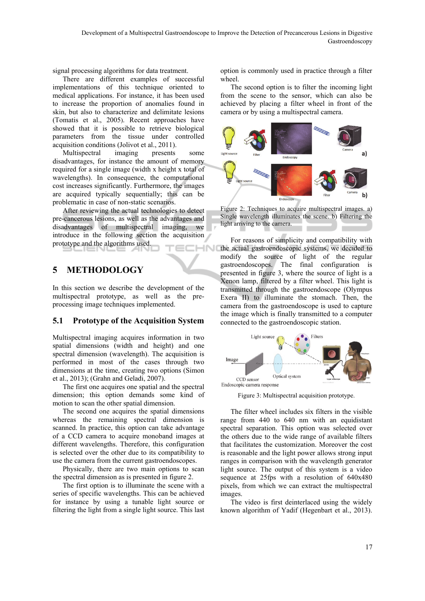signal processing algorithms for data treatment.

There are different examples of successful implementations of this technique oriented to medical applications. For instance, it has been used to increase the proportion of anomalies found in skin, but also to characterize and delimitate lesions (Tomatis et al., 2005). Recent approaches have showed that it is possible to retrieve biological parameters from the tissue under controlled acquisition conditions (Jolivot et al., 2011).

Multispectral imaging presents some disadvantages, for instance the amount of memory required for a single image (width x height x total of wavelengths). In consequence, the computational cost increases significantly. Furthermore, the images are acquired typically sequentially; this can be problematic in case of non-static scenarios.

After reviewing the actual technologies to detect pre-cancerous lesions, as well as the advantages and disadvantages of multispectral imaging, we introduce in the following section the acquisition prototype and the algorithms used. -INK

# **5 METHODOLOGY**

In this section we describe the development of the multispectral prototype, as well as the preprocessing image techniques implemented.

### **5.1 Prototype of the Acquisition System**

Multispectral imaging acquires information in two spatial dimensions (width and height) and one spectral dimension (wavelength). The acquisition is performed in most of the cases through two dimensions at the time, creating two options (Simon et al., 2013); (Grahn and Geladi, 2007).

The first one acquires one spatial and the spectral dimension; this option demands some kind of motion to scan the other spatial dimension.

The second one acquires the spatial dimensions whereas the remaining spectral dimension is scanned. In practice, this option can take advantage of a CCD camera to acquire monoband images at different wavelengths. Therefore, this configuration is selected over the other due to its compatibility to use the camera from the current gastroendoscopes.

Physically, there are two main options to scan the spectral dimension as is presented in figure 2.

The first option is to illuminate the scene with a series of specific wavelengths. This can be achieved for instance by using a tunable light source or filtering the light from a single light source. This last option is commonly used in practice through a filter wheel.

The second option is to filter the incoming light from the scene to the sensor, which can also be achieved by placing a filter wheel in front of the camera or by using a multispectral camera.



Figure 2: Techniques to acquire multispectral images. a) Single wavelength illuminates the scene. b) Filtering the light arriving to the camera.

For reasons of simplicity and compatibility with the actual gastroendoscopic systems, we decided to modify the source of light of the regular gastroendoscopes. The final configuration is presented in figure 3, where the source of light is a Xenon lamp, filtered by a filter wheel. This light is transmitted through the gastroendoscope (Olympus Exera II) to illuminate the stomach. Then, the camera from the gastroendoscope is used to capture the image which is finally transmitted to a computer connected to the gastroendoscopic station.



Figure 3: Multispectral acquisition prototype.

The filter wheel includes six filters in the visible range from 440 to 640 nm with an equidistant spectral separation. This option was selected over the others due to the wide range of available filters that facilitates the customization. Moreover the cost is reasonable and the light power allows strong input ranges in comparison with the wavelength generator light source. The output of this system is a video sequence at 25fps with a resolution of 640x480 pixels, from which we can extract the multispectral images.

The video is first deinterlaced using the widely known algorithm of Yadif (Hegenbart et al., 2013).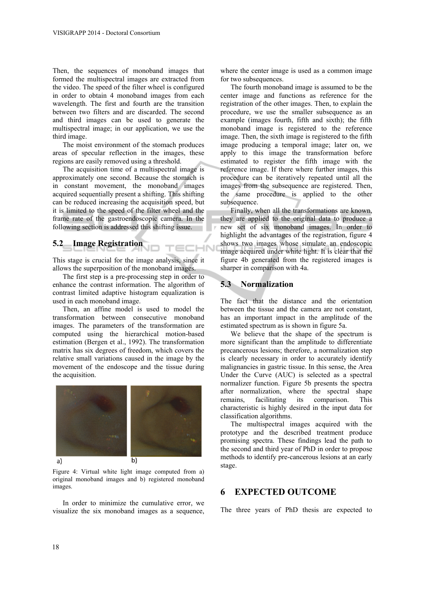Then, the sequences of monoband images that formed the multispectral images are extracted from the video. The speed of the filter wheel is configured in order to obtain 4 monoband images from each wavelength. The first and fourth are the transition between two filters and are discarded. The second and third images can be used to generate the multispectral image; in our application, we use the third image.

The moist environment of the stomach produces areas of specular reflection in the images, these regions are easily removed using a threshold.

The acquisition time of a multispectral image is approximately one second. Because the stomach is in constant movement, the monoband images acquired sequentially present a shifting. This shifting can be reduced increasing the acquisition speed, but it is limited to the speed of the filter wheel and the frame rate of the gastroendoscopic camera. In the following section is addressed this shifting issue.

#### **5.2 Image Registration**

This stage is crucial for the image analysis, since it allows the superposition of the monoband images.

The first step is a pre-processing step in order to enhance the contrast information. The algorithm of contrast limited adaptive histogram equalization is used in each monoband image.

Then, an affine model is used to model the transformation between consecutive monoband images. The parameters of the transformation are computed using the hierarchical motion-based estimation (Bergen et al., 1992). The transformation matrix has six degrees of freedom, which covers the relative small variations caused in the image by the movement of the endoscope and the tissue during the acquisition.



Figure 4: Virtual white light image computed from a) original monoband images and b) registered monoband images.

In order to minimize the cumulative error, we visualize the six monoband images as a sequence,

where the center image is used as a common image for two subsequences.

The fourth monoband image is assumed to be the center image and functions as reference for the registration of the other images. Then, to explain the procedure, we use the smaller subsequence as an example (images fourth, fifth and sixth); the fifth monoband image is registered to the reference image. Then, the sixth image is registered to the fifth image producing a temporal image; later on, we apply to this image the transformation before estimated to register the fifth image with the reference image. If there where further images, this procedure can be iteratively repeated until all the images from the subsequence are registered. Then, the same procedure is applied to the other subsequence.

Finally, when all the transformations are known, they are applied to the original data to produce a new set of six monoband images. In order to highlight the advantages of the registration, figure 4 shows two images whose simulate an endoscopic image acquired under white light. It is clear that the figure 4b generated from the registered images is sharper in comparison with 4a.

#### **5.3 Normalization**

**IHN** 

The fact that the distance and the orientation between the tissue and the camera are not constant, has an important impact in the amplitude of the estimated spectrum as is shown in figure 5a.

We believe that the shape of the spectrum is more significant than the amplitude to differentiate precancerous lesions; therefore, a normalization step is clearly necessary in order to accurately identify malignancies in gastric tissue. In this sense, the Area Under the Curve (AUC) is selected as a spectral normalizer function. Figure 5b presents the spectra after normalization, where the spectral shape remains, facilitating its comparison. This characteristic is highly desired in the input data for classification algorithms.

The multispectral images acquired with the prototype and the described treatment produce promising spectra. These findings lead the path to the second and third year of PhD in order to propose methods to identify pre-cancerous lesions at an early stage.

### **6 EXPECTED OUTCOME**

The three years of PhD thesis are expected to